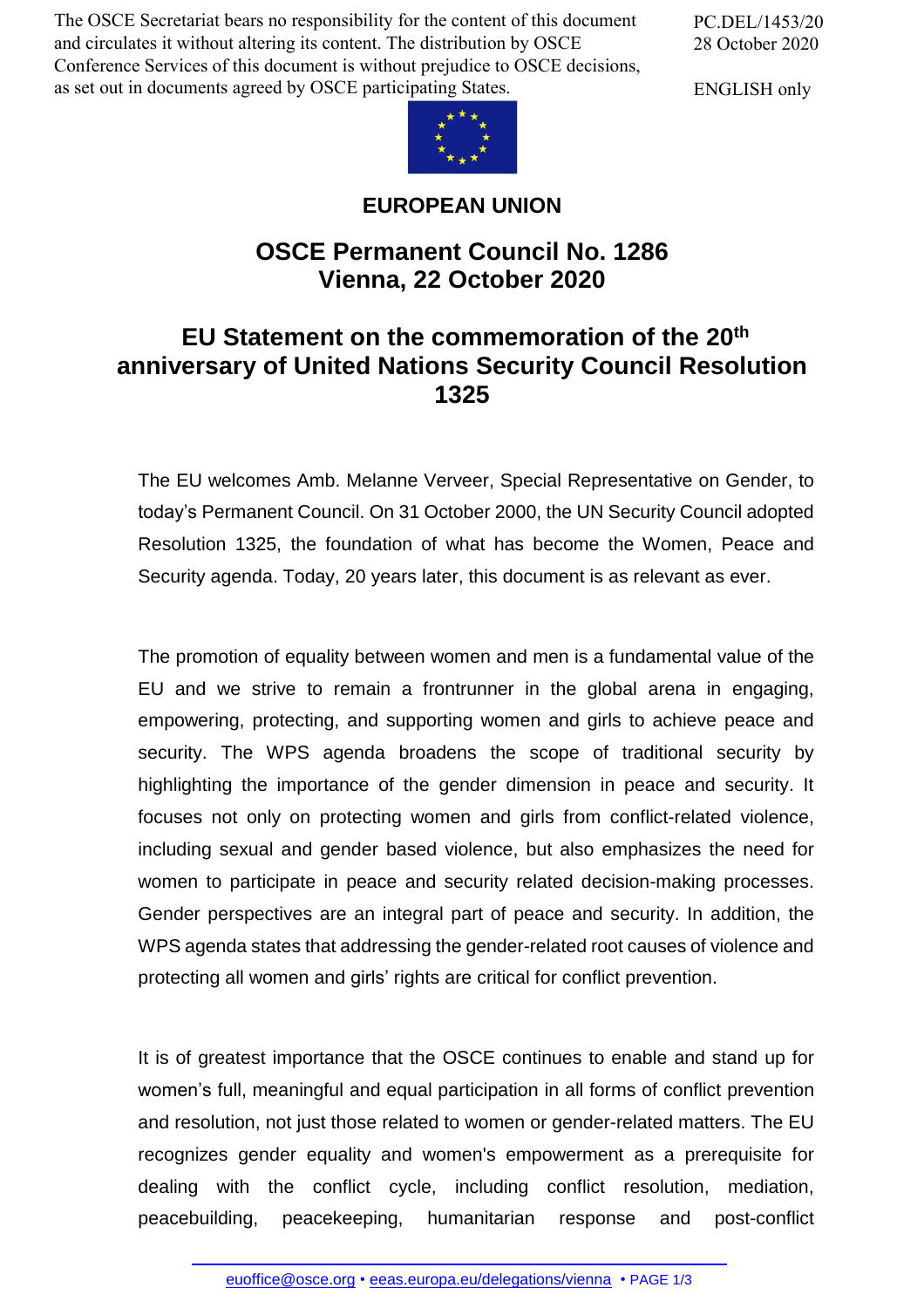The OSCE Secretariat bears no responsibility for the content of this document and circulates it without altering its content. The distribution by OSCE Conference Services of this document is without prejudice to OSCE decisions, as set out in documents agreed by OSCE participating States.

PC.DEL/1453/20 28 October 2020

ENGLISH only



## **EUROPEAN UNION**

## **OSCE Permanent Council No. 1286 Vienna, 22 October 2020**

## **EU Statement on the commemoration of the 20th anniversary of United Nations Security Council Resolution 1325**

The EU welcomes Amb. Melanne Verveer, Special Representative on Gender, to today's Permanent Council. On 31 October 2000, the UN Security Council adopted Resolution 1325, the foundation of what has become the Women, Peace and Security agenda. Today, 20 years later, this document is as relevant as ever.

The promotion of equality between women and men is a fundamental value of the EU and we strive to remain a frontrunner in the global arena in engaging, empowering, protecting, and supporting women and girls to achieve peace and security. The WPS agenda broadens the scope of traditional security by highlighting the importance of the gender dimension in peace and security. It focuses not only on protecting women and girls from conflict-related violence, including sexual and gender based violence, but also emphasizes the need for women to participate in peace and security related decision-making processes. Gender perspectives are an integral part of peace and security. In addition, the WPS agenda states that addressing the gender-related root causes of violence and protecting all women and girls' rights are critical for conflict prevention.

It is of greatest importance that the OSCE continues to enable and stand up for women's full, meaningful and equal participation in all forms of conflict prevention and resolution, not just those related to women or gender-related matters. The EU recognizes gender equality and women's empowerment as a prerequisite for dealing with the conflict cycle, including conflict resolution, mediation, peacebuilding, [peacekee](mailto:euoffice@osce.org)ping, [humanitarian](http://eeas.europa.eu/delegations/vienna) response and post-conflict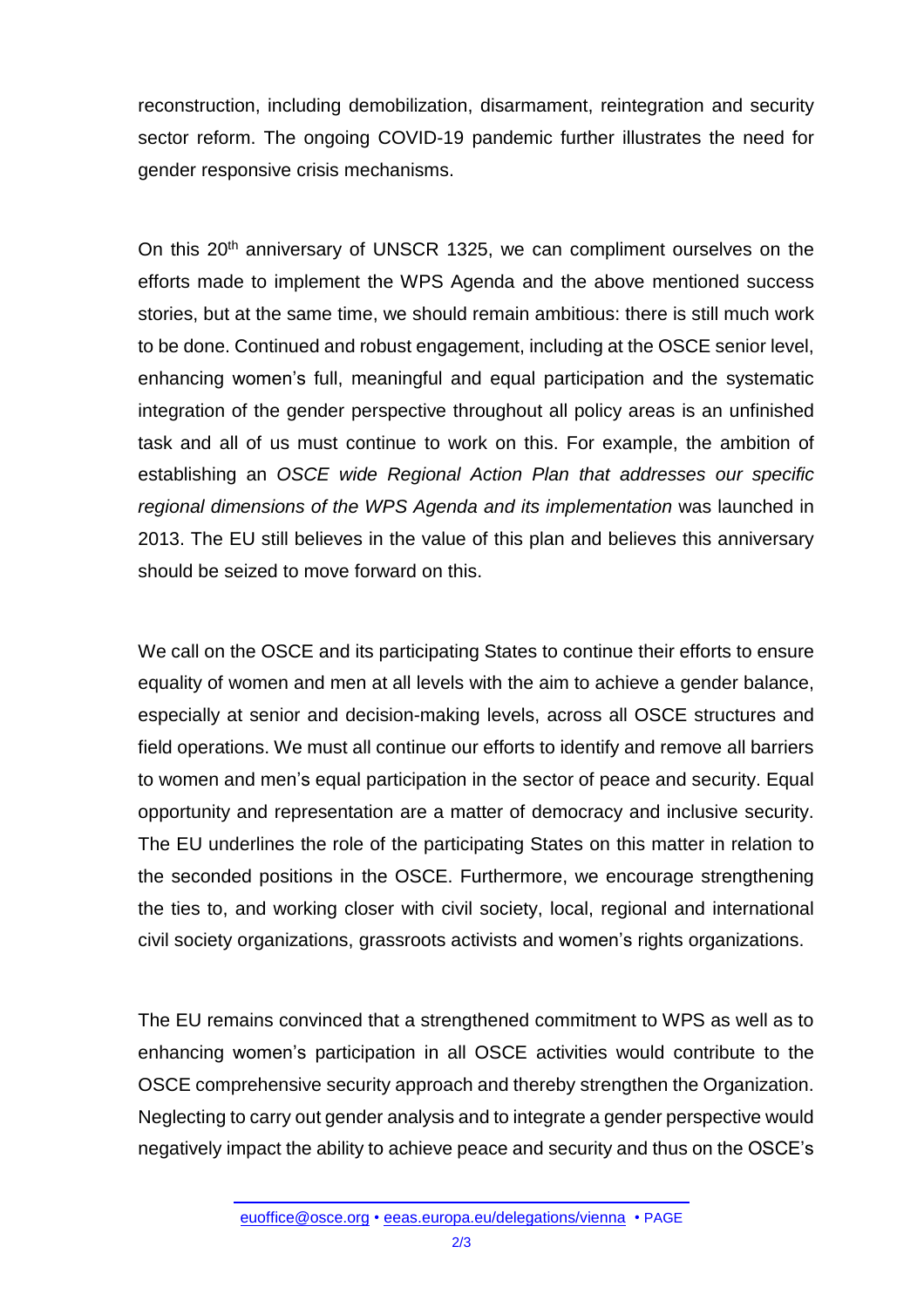reconstruction, including demobilization, disarmament, reintegration and security sector reform. The ongoing COVID-19 pandemic further illustrates the need for gender responsive crisis mechanisms.

On this 20<sup>th</sup> anniversary of UNSCR 1325, we can compliment ourselves on the efforts made to implement the WPS Agenda and the above mentioned success stories, but at the same time, we should remain ambitious: there is still much work to be done. Continued and robust engagement, including at the OSCE senior level, enhancing women's full, meaningful and equal participation and the systematic integration of the gender perspective throughout all policy areas is an unfinished task and all of us must continue to work on this. For example, the ambition of establishing an *OSCE wide Regional Action Plan that addresses our specific regional dimensions of the WPS Agenda and its implementation* was launched in 2013. The EU still believes in the value of this plan and believes this anniversary should be seized to move forward on this.

We call on the OSCE and its participating States to continue their efforts to ensure equality of women and men at all levels with the aim to achieve a gender balance, especially at senior and decision-making levels, across all OSCE structures and field operations. We must all continue our efforts to identify and remove all barriers to women and men's equal participation in the sector of peace and security. Equal opportunity and representation are a matter of democracy and inclusive security. The EU underlines the role of the participating States on this matter in relation to the seconded positions in the OSCE. Furthermore, we encourage strengthening the ties to, and working closer with civil society, local, regional and international civil society organizations, grassroots activists and women's rights organizations.

The EU remains convinced that a strengthened commitment to WPS as well as to enhancing women's participation in all OSCE activities would contribute to the OSCE comprehensive security approach and thereby strengthen the Organization. Neglecting to carry out gender analysis and to integrate a gender perspective would negatively impact the ability to achieve peace and security and thus on the OSCE's